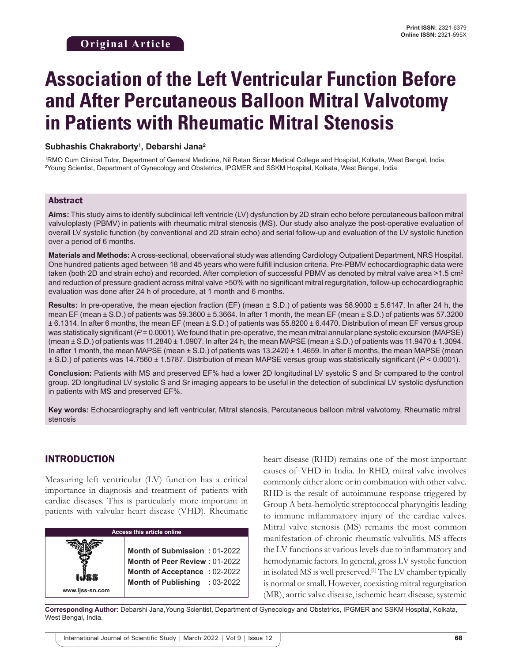# **Association of the Left Ventricular Function Before and After Percutaneous Balloon Mitral Valvotomy in Patients with Rheumatic Mitral Stenosis**

#### **Subhashis Chakraborty1 , Debarshi Jana2**

1 RMO Cum Clinical Tutor, Department of General Medicine, Nil Ratan Sircar Medical College and Hospital, Kolkata, West Bengal, India, 2 Young Scientist, Department of Gynecology and Obstetrics, IPGMER and SSKM Hospital, Kolkata, West Bengal, India

#### Abstract

**Aims:** This study aims to identify subclinical left ventricle (LV) dysfunction by 2D strain echo before percutaneous balloon mitral valvuloplasty (PBMV) in patients with rheumatic mitral stenosis (MS). Our study also analyze the post-operative evaluation of overall LV systolic function (by conventional and 2D strain echo) and serial follow-up and evaluation of the LV systolic function over a period of 6 months.

**Materials and Methods:** A cross-sectional, observational study was attending Cardiology Outpatient Department, NRS Hospital. One hundred patients aged between 18 and 45 years who were fulfill inclusion criteria. Pre-PBMV echocardiographic data were taken (both 2D and strain echo) and recorded. After completion of successful PBMV as denoted by mitral valve area  $>1.5$  cm<sup>2</sup> and reduction of pressure gradient across mitral valve >50% with no significant mitral regurgitation, follow-up echocardiographic evaluation was done after 24 h of procedure, at 1 month and 6 months.

**Results:** In pre-operative, the mean ejection fraction (EF) (mean ± S.D.) of patients was 58.9000 ± 5.6147. In after 24 h, the mean EF (mean  $\pm$  S.D.) of patients was 59.3600  $\pm$  5.3664. In after 1 month, the mean EF (mean  $\pm$  S.D.) of patients was 57.3200 ± 6.1314. In after 6 months, the mean EF (mean ± S.D.) of patients was 55.8200 ± 6.4470. Distribution of mean EF versus group was statistically significant ( $P$  = 0.0001). We found that in pre-operative, the mean mitral annular plane systolic excursion (MAPSE) (mean  $\pm$  S.D.) of patients was 11.2840  $\pm$  1.0907. In after 24 h, the mean MAPSE (mean  $\pm$  S.D.) of patients was 11.9470  $\pm$  1.3094. In after 1 month, the mean MAPSE (mean  $\pm$  S.D.) of patients was 13.2420  $\pm$  1.4659. In after 6 months, the mean MAPSE (mean ± S.D.) of patients was 14.7560 ± 1.5787. Distribution of mean MAPSE versus group was statistically significant (*P* < 0.0001).

**Conclusion:** Patients with MS and preserved EF% had a lower 2D longitudinal LV systolic S and Sr compared to the control group. 2D longitudinal LV systolic S and Sr imaging appears to be useful in the detection of subclinical LV systolic dysfunction in patients with MS and preserved EF%.

**Key words:** Echocardiography and left ventricular, Mitral stenosis, Percutaneous balloon mitral valvotomy, Rheumatic mitral stenosis

#### INTRODUCTION

Measuring left ventricular (LV) function has a critical importance in diagnosis and treatment of patients with cardiac diseases. This is particularly more important in patients with valvular heart disease (VHD). Rheumatic

heart disease (RHD) remains one of the most important causes of VHD in India. In RHD, mitral valve involves commonly either alone or in combination with other valve. RHD is the result of autoimmune response triggered by Group A beta-hemolytic streptococcal pharyngitis leading to immune inflammatory injury of the cardiac valves. Mitral valve stenosis (MS) remains the most common manifestation of chronic rheumatic valvulitis. MS affects the LV functions at various levels due to inflammatory and hemodynamic factors. In general, gross LV systolic function in isolated MS is well preserved.<sup>[1]</sup> The LV chamber typically is normal or small. However, coexisting mitral regurgitation (MR), aortic valve disease, ischemic heart disease, systemic

**Corresponding Author:** Debarshi Jana,Young Scientist, Department of Gynecology and Obstetrics, IPGMER and SSKM Hospital, Kolkata, West Bengal, India.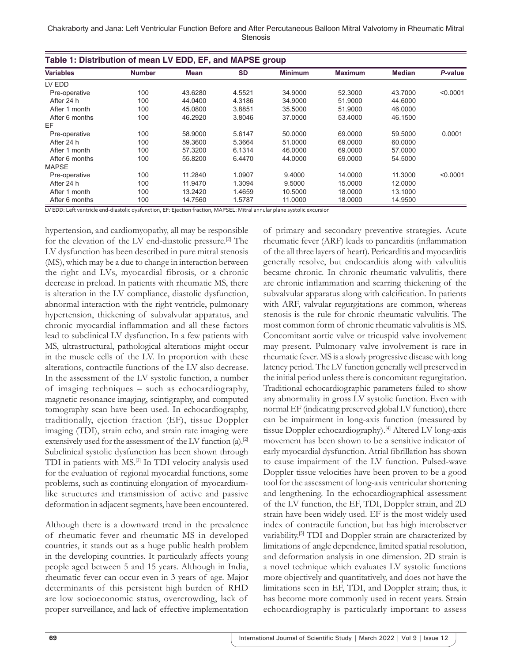Chakraborty and Jana: Left Ventricular Function Before and After Percutaneous Balloon Mitral Valvotomy in Rheumatic Mitral Stenosis

| Table 1: Distribution of mean LV EDD, EF, and MAPSE group |               |             |           |                |                |               |          |
|-----------------------------------------------------------|---------------|-------------|-----------|----------------|----------------|---------------|----------|
| <b>Variables</b>                                          | <b>Number</b> | <b>Mean</b> | <b>SD</b> | <b>Minimum</b> | <b>Maximum</b> | <b>Median</b> | P-value  |
| LV EDD                                                    |               |             |           |                |                |               |          |
| Pre-operative                                             | 100           | 43.6280     | 4.5521    | 34.9000        | 52.3000        | 43.7000       | < 0.0001 |
| After 24 h                                                | 100           | 44.0400     | 4.3186    | 34.9000        | 51.9000        | 44.6000       |          |
| After 1 month                                             | 100           | 45.0800     | 3.8851    | 35.5000        | 51.9000        | 46.0000       |          |
| After 6 months                                            | 100           | 46.2920     | 3.8046    | 37.0000        | 53.4000        | 46.1500       |          |
| EF                                                        |               |             |           |                |                |               |          |
| Pre-operative                                             | 100           | 58.9000     | 5.6147    | 50.0000        | 69,0000        | 59.5000       | 0.0001   |
| After 24 h                                                | 100           | 59.3600     | 5.3664    | 51.0000        | 69,0000        | 60.0000       |          |
| After 1 month                                             | 100           | 57.3200     | 6.1314    | 46.0000        | 69,0000        | 57.0000       |          |
| After 6 months                                            | 100           | 55.8200     | 6.4470    | 44.0000        | 69,0000        | 54.5000       |          |
| <b>MAPSE</b>                                              |               |             |           |                |                |               |          |
| Pre-operative                                             | 100           | 11.2840     | 1.0907    | 9.4000         | 14.0000        | 11.3000       | < 0.0001 |
| After 24 h                                                | 100           | 11.9470     | 1.3094    | 9.5000         | 15.0000        | 12.0000       |          |
| After 1 month                                             | 100           | 13.2420     | 1.4659    | 10.5000        | 18.0000        | 13.1000       |          |
| After 6 months                                            | 100           | 14.7560     | 1.5787    | 11.0000        | 18.0000        | 14.9500       |          |

LV EDD: Left ventricle end-diastolic dysfunction, EF: Ejection fraction, MAPSEL: Mitral annular plane systolic excursion

hypertension, and cardiomyopathy, all may be responsible for the elevation of the LV end-diastolic pressure.[2] The LV dysfunction has been described in pure mitral stenosis (MS), which may be a due to change in interaction between the right and LVs, myocardial fibrosis, or a chronic decrease in preload. In patients with rheumatic MS, there is alteration in the LV compliance, diastolic dysfunction, abnormal interaction with the right ventricle, pulmonary hypertension, thickening of subvalvular apparatus, and chronic myocardial inflammation and all these factors lead to subclinical LV dysfunction. In a few patients with MS, ultrastructural, pathological alterations might occur in the muscle cells of the LV. In proportion with these alterations, contractile functions of the LV also decrease. In the assessment of the LV systolic function, a number of imaging techniques – such as echocardiography, magnetic resonance imaging, scintigraphy, and computed tomography scan have been used. In echocardiography, traditionally, ejection fraction (EF), tissue Doppler imaging (TDI), strain echo, and strain rate imaging were extensively used for the assessment of the LV function (a).<sup>[2]</sup> Subclinical systolic dysfunction has been shown through TDI in patients with MS.[3] In TDI velocity analysis used for the evaluation of regional myocardial functions, some problems, such as continuing elongation of myocardiumlike structures and transmission of active and passive deformation in adjacent segments, have been encountered.

Although there is a downward trend in the prevalence of rheumatic fever and rheumatic MS in developed countries, it stands out as a huge public health problem in the developing countries. It particularly affects young people aged between 5 and 15 years. Although in India, rheumatic fever can occur even in 3 years of age. Major determinants of this persistent high burden of RHD are low socioeconomic status, overcrowding, lack of proper surveillance, and lack of effective implementation

of primary and secondary preventive strategies. Acute rheumatic fever (ARF) leads to pancarditis (inflammation of the all three layers of heart). Pericarditis and myocarditis generally resolve, but endocarditis along with valvulitis became chronic. In chronic rheumatic valvulitis, there are chronic inflammation and scarring thickening of the subvalvular apparatus along with calcification. In patients with ARF, valvular regurgitations are common, whereas stenosis is the rule for chronic rheumatic valvulitis. The most common form of chronic rheumatic valvulitis is MS. Concomitant aortic valve or tricuspid valve involvement may present. Pulmonary valve involvement is rare in rheumatic fever. MS is a slowly progressive disease with long latency period. The LV function generally well preserved in the initial period unless there is concomitant regurgitation. Traditional echocardiographic parameters failed to show any abnormality in gross LV systolic function. Even with normal EF (indicating preserved global LV function), there can be impairment in long-axis function (measured by tissue Doppler echocardiography).[4] Altered LV long-axis movement has been shown to be a sensitive indicator of early myocardial dysfunction. Atrial fibrillation has shown to cause impairment of the LV function. Pulsed-wave Doppler tissue velocities have been proven to be a good tool for the assessment of long-axis ventricular shortening and lengthening. In the echocardiographical assessment of the LV function, the EF, TDI, Doppler strain, and 2D strain have been widely used. EF is the most widely used index of contractile function, but has high interobserver variability.[5] TDI and Doppler strain are characterized by limitations of angle dependence, limited spatial resolution, and deformation analysis in one dimension. 2D strain is a novel technique which evaluates LV systolic functions more objectively and quantitatively, and does not have the limitations seen in EF, TDI, and Doppler strain; thus, it has become more commonly used in recent years. Strain echocardiography is particularly important to assess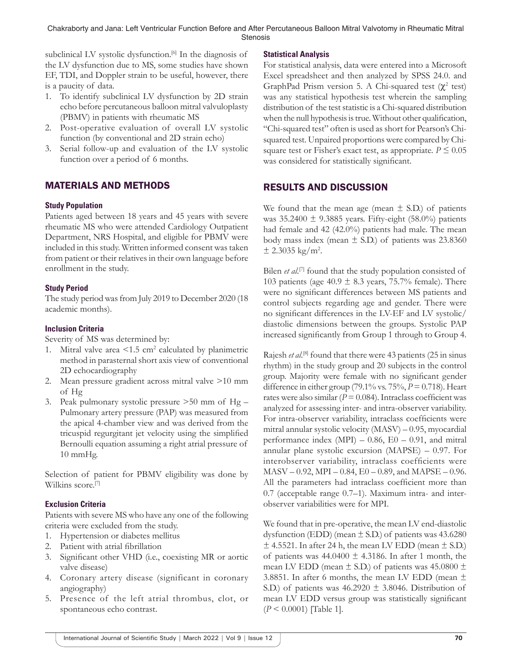subclinical LV systolic dysfunction.<sup>[6]</sup> In the diagnosis of the LV dysfunction due to MS, some studies have shown EF, TDI, and Doppler strain to be useful, however, there is a paucity of data.

- 1. To identify subclinical LV dysfunction by 2D strain echo before percutaneous balloon mitral valvuloplasty (PBMV) in patients with rheumatic MS
- 2. Post-operative evaluation of overall LV systolic function (by conventional and 2D strain echo)
- 3. Serial follow-up and evaluation of the LV systolic function over a period of 6 months.

# MATERIALS AND METHODS

## **Study Population**

Patients aged between 18 years and 45 years with severe rheumatic MS who were attended Cardiology Outpatient Department, NRS Hospital, and eligible for PBMV were included in this study. Written informed consent was taken from patient or their relatives in their own language before enrollment in the study.

#### **Study Period**

The study period was from July 2019 to December 2020 (18 academic months).

#### **Inclusion Criteria**

Severity of MS was determined by:

- 1. Mitral valve area  $\leq 1.5$  cm<sup>2</sup> calculated by planimetric method in parasternal short axis view of conventional 2D echocardiography
- 2. Mean pressure gradient across mitral valve >10 mm of Hg
- 3. Peak pulmonary systolic pressure >50 mm of Hg Pulmonary artery pressure (PAP) was measured from the apical 4-chamber view and was derived from the tricuspid regurgitant jet velocity using the simplified Bernoulli equation assuming a right atrial pressure of 10 mmHg.

Selection of patient for PBMV eligibility was done by Wilkins score.<sup>[7]</sup>

## **Exclusion Criteria**

Patients with severe MS who have any one of the following criteria were excluded from the study.

- 1. Hypertension or diabetes mellitus
- 2. Patient with atrial fibrillation
- 3. Significant other VHD (i.e., coexisting MR or aortic valve disease)
- 4. Coronary artery disease (significant in coronary angiography)
- 5. Presence of the left atrial thrombus, clot, or spontaneous echo contrast.

#### **Statistical Analysis**

For statistical analysis, data were entered into a Microsoft Excel spreadsheet and then analyzed by SPSS 24.0. and GraphPad Prism version 5. A Chi-squared test  $(\chi^2 \text{ test})$ was any statistical hypothesis test wherein the sampling distribution of the test statistic is a Chi-squared distribution when the null hypothesis is true. Without other qualification, "Chi-squared test" often is used as short for Pearson's Chisquared test. Unpaired proportions were compared by Chisquare test or Fisher's exact test, as appropriate.  $P \leq 0.05$ was considered for statistically significant.

# RESULTS AND DISCUSSION

We found that the mean age (mean  $\pm$  S.D.) of patients was  $35.2400 \pm 9.3885$  years. Fifty-eight (58.0%) patients had female and 42 (42.0%) patients had male. The mean body mass index (mean  $\pm$  S.D.) of patients was 23.8360  $\pm$  2.3035 kg/m<sup>2</sup>.

Bilen *et al.*<sup>[7]</sup> found that the study population consisted of 103 patients (age  $40.9 \pm 8.3$  years, 75.7% female). There were no significant differences between MS patients and control subjects regarding age and gender. There were no significant differences in the LV-EF and LV systolic/ diastolic dimensions between the groups. Systolic PAP increased significantly from Group 1 through to Group 4.

Rajesh *et al.*<sup>[8]</sup> found that there were 43 patients (25 in sinus rhythm) in the study group and 20 subjects in the control group. Majority were female with no significant gender difference in either group (79.1% vs. 75%, *P* = 0.718). Heart rates were also similar  $(P = 0.084)$ . Intraclass coefficient was analyzed for assessing inter- and intra-observer variability. For intra-observer variability, intraclass coefficients were mitral annular systolic velocity (MASV) – 0.95, myocardial performance index  $(MPI) - 0.86$ ,  $E0 - 0.91$ , and mitral annular plane systolic excursion (MAPSE) – 0.97. For interobserver variability, intraclass coefficients were MASV – 0.92, MPI – 0.84, E0 – 0.89, and MAPSE – 0.96. All the parameters had intraclass coefficient more than 0.7 (acceptable range 0.7–1). Maximum intra- and interobserver variabilities were for MPI.

We found that in pre-operative, the mean LV end-diastolic dysfunction (EDD) (mean  $\pm$  S.D.) of patients was 43.6280  $\pm$  4.5521. In after 24 h, the mean LV EDD (mean  $\pm$  S.D.) of patients was  $44.0400 \pm 4.3186$ . In after 1 month, the mean LV EDD (mean  $\pm$  S.D.) of patients was 45.0800  $\pm$ 3.8851. In after 6 months, the mean LV EDD (mean  $\pm$ S.D.) of patients was  $46.2920 \pm 3.8046$ . Distribution of mean LV EDD versus group was statistically significant (*P* < 0.0001) [Table 1].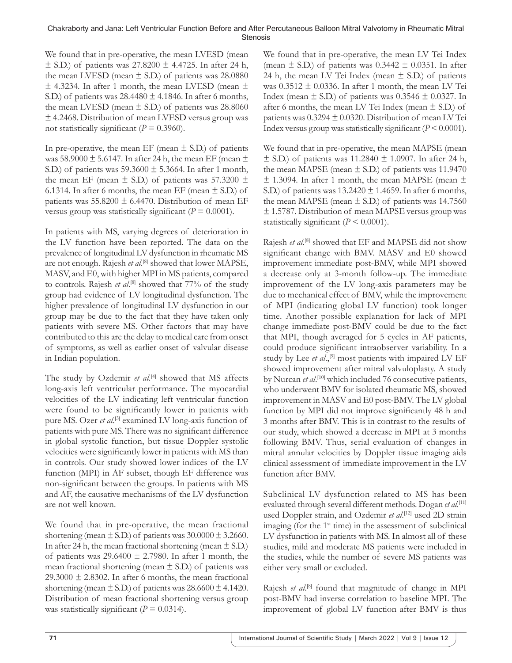We found that in pre-operative, the mean LVESD (mean  $\pm$  S.D.) of patients was 27.8200  $\pm$  4.4725. In after 24 h, the mean LVESD (mean  $\pm$  S.D.) of patients was 28.0880  $\pm$  4.3234. In after 1 month, the mean LVESD (mean  $\pm$ S.D.) of patients was  $28.4480 \pm 4.1846$ . In after 6 months, the mean LVESD (mean  $\pm$  S.D.) of patients was 28.8060 ± 4.2468. Distribution of mean LVESD versus group was not statistically significant ( $P = 0.3960$ ).

In pre-operative, the mean EF (mean  $\pm$  S.D.) of patients was 58.9000  $\pm$  5.6147. In after 24 h, the mean EF (mean  $\pm$ S.D.) of patients was  $59.3600 \pm 5.3664$ . In after 1 month, the mean EF (mean  $\pm$  S.D.) of patients was 57.3200  $\pm$ 6.1314. In after 6 months, the mean EF (mean  $\pm$  S.D.) of patients was  $55.8200 \pm 6.4470$ . Distribution of mean EF versus group was statistically significant  $(P = 0.0001)$ .

In patients with MS, varying degrees of deterioration in the LV function have been reported. The data on the prevalence of longitudinal LV dysfunction in rheumatic MS are not enough. Rajesh et al.<sup>[8]</sup> showed that lower MAPSE, MASV, and E0, with higher MPI in MS patients, compared to controls. Rajesh *et al.*<sup>[8]</sup> showed that 77% of the study group had evidence of LV longitudinal dysfunction. The higher prevalence of longitudinal LV dysfunction in our group may be due to the fact that they have taken only patients with severe MS. Other factors that may have contributed to this are the delay to medical care from onset of symptoms, as well as earlier onset of valvular disease in Indian population.

The study by Ozdemir et al.<sup>[4]</sup> showed that MS affects long-axis left ventricular performance. The myocardial velocities of the LV indicating left ventricular function were found to be significantly lower in patients with pure MS. Ozer *et al*.<sup>[3]</sup> examined LV long-axis function of patients with pure MS. There was no significant difference in global systolic function, but tissue Doppler systolic velocities were significantly lower in patients with MS than in controls. Our study showed lower indices of the LV function (MPI) in AF subset, though EF difference was non-significant between the groups. In patients with MS and AF, the causative mechanisms of the LV dysfunction are not well known.

We found that in pre-operative, the mean fractional shortening (mean  $\pm$  S.D.) of patients was 30.0000  $\pm$  3.2660. In after 24 h, the mean fractional shortening (mean  $\pm$  S.D.) of patients was  $29.6400 \pm 2.7980$ . In after 1 month, the mean fractional shortening (mean  $\pm$  S.D.) of patients was 29.3000  $\pm$  2.8302. In after 6 months, the mean fractional shortening (mean  $\pm$  S.D.) of patients was 28.6600  $\pm$  4.1420. Distribution of mean fractional shortening versus group was statistically significant  $(P = 0.0314)$ .

We found that in pre-operative, the mean LV Tei Index (mean  $\pm$  S.D.) of patients was 0.3442  $\pm$  0.0351. In after 24 h, the mean LV Tei Index (mean  $\pm$  S.D.) of patients was  $0.3512 \pm 0.0336$ . In after 1 month, the mean LV Tei Index (mean  $\pm$  S.D.) of patients was 0.3546  $\pm$  0.0327. In after 6 months, the mean LV Tei Index (mean  $\pm$  S.D.) of patients was 0.3294 ± 0.0320. Distribution of mean LV Tei Index versus group was statistically significant  $(P < 0.0001)$ .

We found that in pre-operative, the mean MAPSE (mean  $\pm$  S.D.) of patients was 11.2840  $\pm$  1.0907. In after 24 h, the mean MAPSE (mean  $\pm$  S.D.) of patients was 11.9470  $\pm$  1.3094. In after 1 month, the mean MAPSE (mean  $\pm$ S.D.) of patients was  $13.2420 \pm 1.4659$ . In after 6 months, the mean MAPSE (mean  $\pm$  S.D.) of patients was 14.7560 ± 1.5787. Distribution of mean MAPSE versus group was statistically significant  $(P \le 0.0001)$ .

Rajesh *et al.*<sup>[8]</sup> showed that EF and MAPSE did not show significant change with BMV. MASV and E0 showed improvement immediate post-BMV, while MPI showed a decrease only at 3-month follow-up. The immediate improvement of the LV long-axis parameters may be due to mechanical effect of BMV, while the improvement of MPI (indicating global LV function) took longer time. Another possible explanation for lack of MPI change immediate post-BMV could be due to the fact that MPI, though averaged for 5 cycles in AF patients, could produce significant intraobserver variability. In a study by Lee et al.,<sup>[9]</sup> most patients with impaired LV EF showed improvement after mitral valvuloplasty. A study by Nurcan *et al*. [10] which included 76 consecutive patients, who underwent BMV for isolated rheumatic MS, showed improvement in MASV and E0 post-BMV. The LV global function by MPI did not improve significantly 48 h and 3 months after BMV. This is in contrast to the results of our study, which showed a decrease in MPI at 3 months following BMV. Thus, serial evaluation of changes in mitral annular velocities by Doppler tissue imaging aids clinical assessment of immediate improvement in the LV function after BMV.

Subclinical LV dysfunction related to MS has been evaluated through several different methods. Dogan *et al*. [11] used Doppler strain, and Ozdemir *et al*. [12] used 2D strain imaging (for the  $1<sup>st</sup>$  time) in the assessment of subclinical LV dysfunction in patients with MS. In almost all of these studies, mild and moderate MS patients were included in the studies, while the number of severe MS patients was either very small or excluded.

Rajesh *et al.*<sup>[8]</sup> found that magnitude of change in MPI post-BMV had inverse correlation to baseline MPI. The improvement of global LV function after BMV is thus